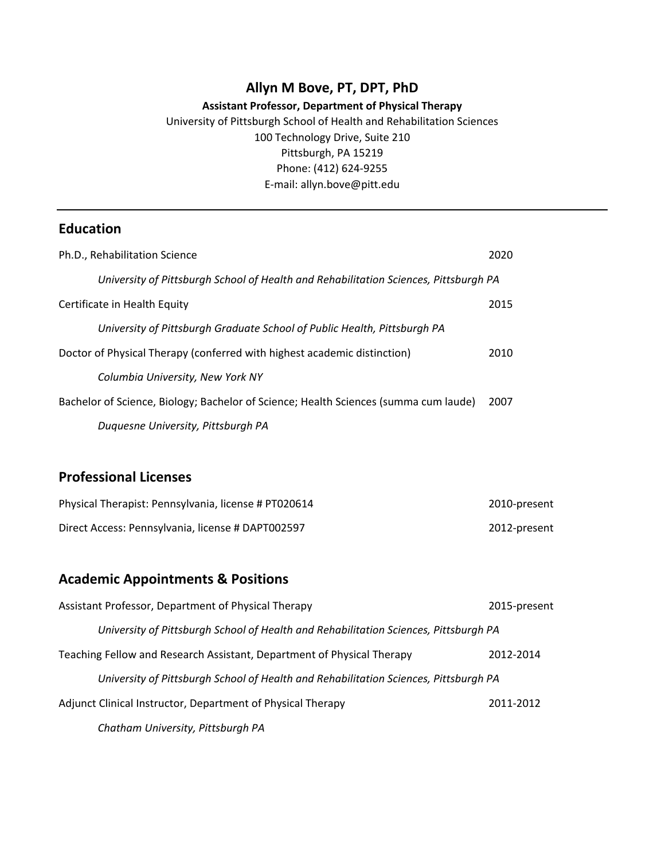## **Allyn M Bove, PT, DPT, PhD**

## **Assistant Professor, Department of Physical Therapy**

University of Pittsburgh School of Health and Rehabilitation Sciences 100 Technology Drive, Suite 210 Pittsburgh, PA 15219 Phone: (412) 624-9255 E-mail: allyn.bove@pitt.edu

# **Education**

| Ph.D., Rehabilitation Science                                                        | 2020 |
|--------------------------------------------------------------------------------------|------|
| University of Pittsburgh School of Health and Rehabilitation Sciences, Pittsburgh PA |      |
| Certificate in Health Equity                                                         | 2015 |
| University of Pittsburgh Graduate School of Public Health, Pittsburgh PA             |      |
| Doctor of Physical Therapy (conferred with highest academic distinction)             | 2010 |
| Columbia University, New York NY                                                     |      |
| Bachelor of Science, Biology; Bachelor of Science; Health Sciences (summa cum laude) | 2007 |
| Duquesne University, Pittsburgh PA                                                   |      |

# **Professional Licenses**

| Physical Therapist: Pennsylvania, license # PT020614 | 2010-present |
|------------------------------------------------------|--------------|
| Direct Access: Pennsylvania, license # DAPT002597    | 2012-present |

## **Academic Appointments & Positions**

| Assistant Professor, Department of Physical Therapy                                  | 2015-present |
|--------------------------------------------------------------------------------------|--------------|
| University of Pittsburgh School of Health and Rehabilitation Sciences, Pittsburgh PA |              |
| Teaching Fellow and Research Assistant, Department of Physical Therapy               | 2012-2014    |
| University of Pittsburgh School of Health and Rehabilitation Sciences, Pittsburgh PA |              |
| Adjunct Clinical Instructor, Department of Physical Therapy                          | 2011-2012    |
| Chatham University, Pittsburgh PA                                                    |              |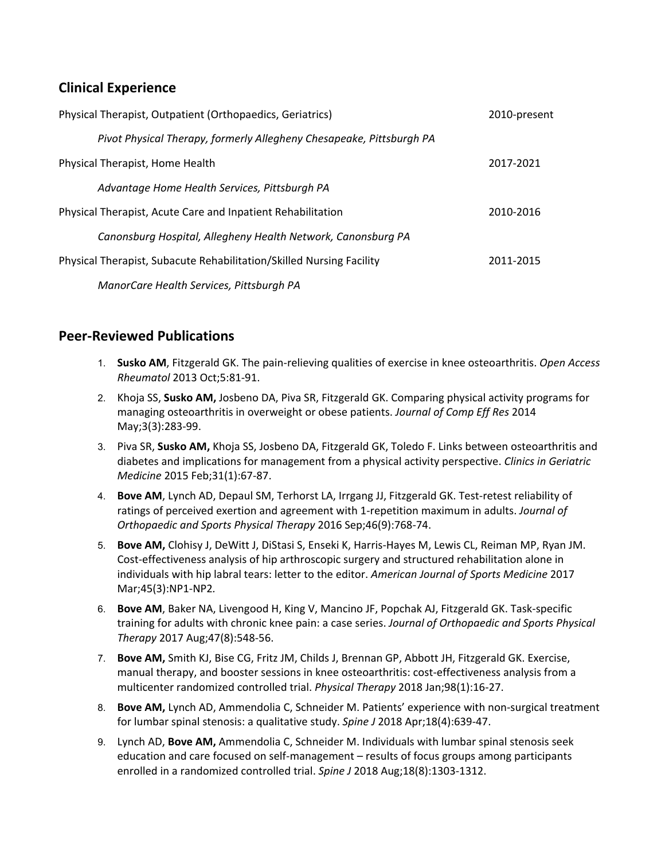# **Clinical Experience**

| Physical Therapist, Outpatient (Orthopaedics, Geriatrics)            | 2010-present |
|----------------------------------------------------------------------|--------------|
| Pivot Physical Therapy, formerly Allegheny Chesapeake, Pittsburgh PA |              |
| Physical Therapist, Home Health                                      | 2017-2021    |
| Advantage Home Health Services, Pittsburgh PA                        |              |
| Physical Therapist, Acute Care and Inpatient Rehabilitation          | 2010-2016    |
| Canonsburg Hospital, Allegheny Health Network, Canonsburg PA         |              |
| Physical Therapist, Subacute Rehabilitation/Skilled Nursing Facility | 2011-2015    |
| ManorCare Health Services, Pittsburgh PA                             |              |

## **Peer-Reviewed Publications**

- 1. **Susko AM**, Fitzgerald GK. The pain-relieving qualities of exercise in knee osteoarthritis. *Open Access Rheumatol* 2013 Oct;5:81-91.
- 2. Khoja SS, **Susko AM,** Josbeno DA, Piva SR, Fitzgerald GK. Comparing physical activity programs for managing osteoarthritis in overweight or obese patients. *Journal of Comp Eff Res* 2014 May;3(3):283-99.
- 3. Piva SR, **Susko AM,** Khoja SS, Josbeno DA, Fitzgerald GK, Toledo F. Links between osteoarthritis and diabetes and implications for management from a physical activity perspective. *Clinics in Geriatric Medicine* 2015 Feb;31(1):67-87.
- 4. **Bove AM**, Lynch AD, Depaul SM, Terhorst LA, Irrgang JJ, Fitzgerald GK. Test-retest reliability of ratings of perceived exertion and agreement with 1-repetition maximum in adults. *Journal of Orthopaedic and Sports Physical Therapy* 2016 Sep;46(9):768-74.
- 5. **Bove AM,** Clohisy J, DeWitt J, DiStasi S, Enseki K, Harris-Hayes M, Lewis CL, Reiman MP, Ryan JM. Cost-effectiveness analysis of hip arthroscopic surgery and structured rehabilitation alone in individuals with hip labral tears: letter to the editor. *American Journal of Sports Medicine* 2017 Mar;45(3):NP1-NP2*.*
- 6. **Bove AM**, Baker NA, Livengood H, King V, Mancino JF, Popchak AJ, Fitzgerald GK. Task-specific training for adults with chronic knee pain: a case series. *Journal of Orthopaedic and Sports Physical Therapy* 2017 Aug;47(8):548-56.
- 7. **Bove AM,** Smith KJ, Bise CG, Fritz JM, Childs J, Brennan GP, Abbott JH, Fitzgerald GK. Exercise, manual therapy, and booster sessions in knee osteoarthritis: cost-effectiveness analysis from a multicenter randomized controlled trial. *Physical Therapy* 2018 Jan;98(1):16-27.
- 8. **Bove AM,** Lynch AD, Ammendolia C, Schneider M. Patients' experience with non-surgical treatment for lumbar spinal stenosis: a qualitative study. *Spine J* 2018 Apr;18(4):639-47.
- 9. Lynch AD, **Bove AM,** Ammendolia C, Schneider M. Individuals with lumbar spinal stenosis seek education and care focused on self-management – results of focus groups among participants enrolled in a randomized controlled trial. *Spine J* 2018 Aug;18(8):1303-1312.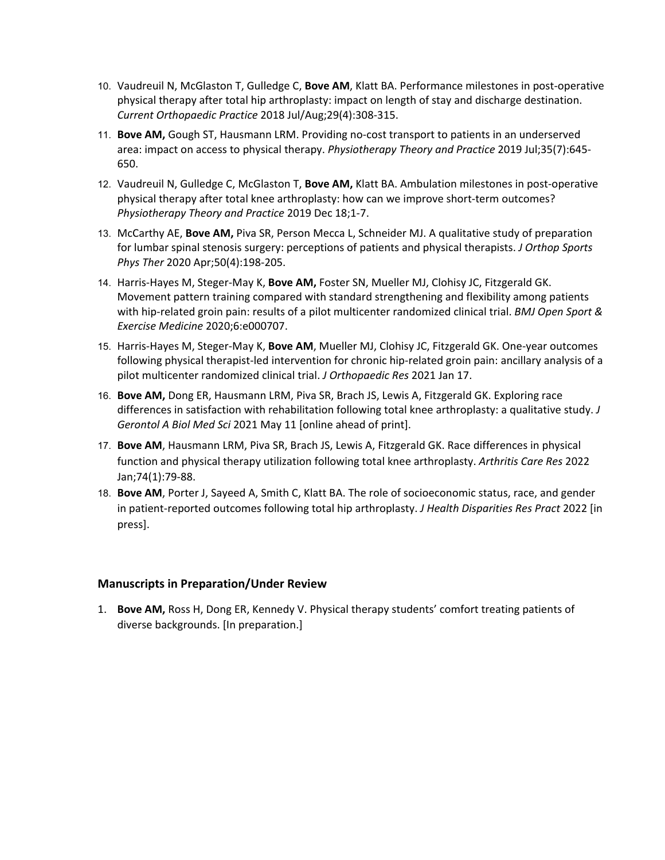- 10. Vaudreuil N, McGlaston T, Gulledge C, **Bove AM**, Klatt BA. Performance milestones in post-operative physical therapy after total hip arthroplasty: impact on length of stay and discharge destination. *Current Orthopaedic Practice* 2018 Jul/Aug;29(4):308-315.
- 11. **Bove AM,** Gough ST, Hausmann LRM. Providing no-cost transport to patients in an underserved area: impact on access to physical therapy. *Physiotherapy Theory and Practice* 2019 Jul;35(7):645- 650.
- 12. Vaudreuil N, Gulledge C, McGlaston T, **Bove AM,** Klatt BA. Ambulation milestones in post-operative physical therapy after total knee arthroplasty: how can we improve short-term outcomes? *Physiotherapy Theory and Practice* 2019 Dec 18;1-7.
- 13. McCarthy AE, **Bove AM,** Piva SR, Person Mecca L, Schneider MJ. A qualitative study of preparation for lumbar spinal stenosis surgery: perceptions of patients and physical therapists. *J Orthop Sports Phys Ther* 2020 Apr;50(4):198-205.
- 14. Harris-Hayes M, Steger-May K, **Bove AM,** Foster SN, Mueller MJ, Clohisy JC, Fitzgerald GK. Movement pattern training compared with standard strengthening and flexibility among patients with hip-related groin pain: results of a pilot multicenter randomized clinical trial. *BMJ Open Sport & Exercise Medicine* 2020;6:e000707.
- 15. Harris-Hayes M, Steger-May K, **Bove AM**, Mueller MJ, Clohisy JC, Fitzgerald GK. One-year outcomes following physical therapist-led intervention for chronic hip-related groin pain: ancillary analysis of a pilot multicenter randomized clinical trial. *J Orthopaedic Res* 2021 Jan 17.
- 16. **Bove AM,** Dong ER, Hausmann LRM, Piva SR, Brach JS, Lewis A, Fitzgerald GK. Exploring race differences in satisfaction with rehabilitation following total knee arthroplasty: a qualitative study. *J Gerontol A Biol Med Sci* 2021 May 11 [online ahead of print].
- 17. **Bove AM**, Hausmann LRM, Piva SR, Brach JS, Lewis A, Fitzgerald GK. Race differences in physical function and physical therapy utilization following total knee arthroplasty. *Arthritis Care Res* 2022 Jan;74(1):79-88.
- 18. **Bove AM**, Porter J, Sayeed A, Smith C, Klatt BA. The role of socioeconomic status, race, and gender in patient-reported outcomes following total hip arthroplasty. *J Health Disparities Res Pract* 2022 [in press].

#### **Manuscripts in Preparation/Under Review**

1. **Bove AM,** Ross H, Dong ER, Kennedy V. Physical therapy students' comfort treating patients of diverse backgrounds. [In preparation.]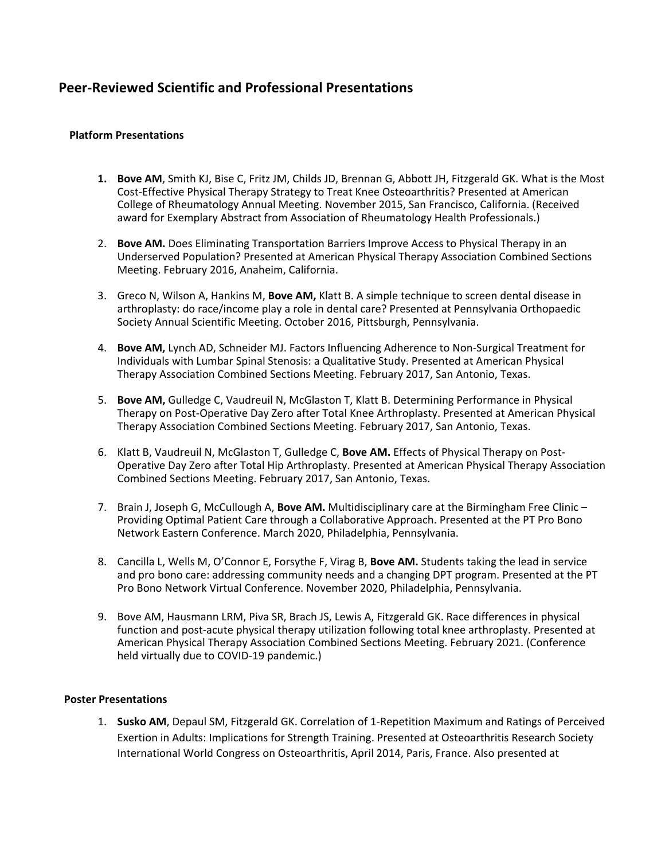## **Peer-Reviewed Scientific and Professional Presentations**

#### **Platform Presentations**

- **1. Bove AM**, Smith KJ, Bise C, Fritz JM, Childs JD, Brennan G, Abbott JH, Fitzgerald GK. What is the Most Cost-Effective Physical Therapy Strategy to Treat Knee Osteoarthritis? Presented at American College of Rheumatology Annual Meeting. November 2015, San Francisco, California. (Received award for Exemplary Abstract from Association of Rheumatology Health Professionals.)
- 2. **Bove AM.** Does Eliminating Transportation Barriers Improve Access to Physical Therapy in an Underserved Population? Presented at American Physical Therapy Association Combined Sections Meeting. February 2016, Anaheim, California.
- 3. Greco N, Wilson A, Hankins M, **Bove AM,** Klatt B. A simple technique to screen dental disease in arthroplasty: do race/income play a role in dental care? Presented at Pennsylvania Orthopaedic Society Annual Scientific Meeting. October 2016, Pittsburgh, Pennsylvania.
- 4. **Bove AM,** Lynch AD, Schneider MJ. Factors Influencing Adherence to Non-Surgical Treatment for Individuals with Lumbar Spinal Stenosis: a Qualitative Study. Presented at American Physical Therapy Association Combined Sections Meeting. February 2017, San Antonio, Texas.
- 5. **Bove AM,** Gulledge C, Vaudreuil N, McGlaston T, Klatt B. Determining Performance in Physical Therapy on Post-Operative Day Zero after Total Knee Arthroplasty. Presented at American Physical Therapy Association Combined Sections Meeting. February 2017, San Antonio, Texas.
- 6. Klatt B, Vaudreuil N, McGlaston T, Gulledge C, **Bove AM.** Effects of Physical Therapy on Post-Operative Day Zero after Total Hip Arthroplasty. Presented at American Physical Therapy Association Combined Sections Meeting. February 2017, San Antonio, Texas.
- 7. Brain J, Joseph G, McCullough A, **Bove AM.** Multidisciplinary care at the Birmingham Free Clinic Providing Optimal Patient Care through a Collaborative Approach. Presented at the PT Pro Bono Network Eastern Conference. March 2020, Philadelphia, Pennsylvania.
- 8. Cancilla L, Wells M, O'Connor E, Forsythe F, Virag B, **Bove AM.** Students taking the lead in service and pro bono care: addressing community needs and a changing DPT program. Presented at the PT Pro Bono Network Virtual Conference. November 2020, Philadelphia, Pennsylvania.
- 9. Bove AM, Hausmann LRM, Piva SR, Brach JS, Lewis A, Fitzgerald GK. Race differences in physical function and post-acute physical therapy utilization following total knee arthroplasty. Presented at American Physical Therapy Association Combined Sections Meeting. February 2021. (Conference held virtually due to COVID-19 pandemic.)

#### **Poster Presentations**

1. **Susko AM**, Depaul SM, Fitzgerald GK. Correlation of 1-Repetition Maximum and Ratings of Perceived Exertion in Adults: Implications for Strength Training. Presented at Osteoarthritis Research Society International World Congress on Osteoarthritis, April 2014, Paris, France. Also presented at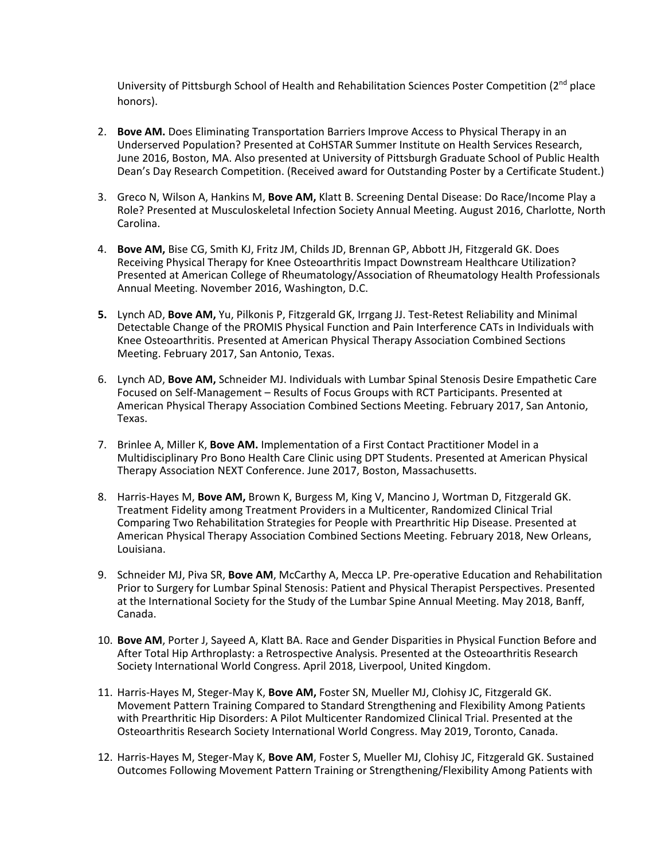University of Pittsburgh School of Health and Rehabilitation Sciences Poster Competition (2<sup>nd</sup> place honors).

- 2. **Bove AM.** Does Eliminating Transportation Barriers Improve Access to Physical Therapy in an Underserved Population? Presented at CoHSTAR Summer Institute on Health Services Research, June 2016, Boston, MA. Also presented at University of Pittsburgh Graduate School of Public Health Dean's Day Research Competition. (Received award for Outstanding Poster by a Certificate Student.)
- 3. Greco N, Wilson A, Hankins M, **Bove AM,** Klatt B. Screening Dental Disease: Do Race/Income Play a Role? Presented at Musculoskeletal Infection Society Annual Meeting. August 2016, Charlotte, North Carolina.
- 4. **Bove AM,** Bise CG, Smith KJ, Fritz JM, Childs JD, Brennan GP, Abbott JH, Fitzgerald GK. Does Receiving Physical Therapy for Knee Osteoarthritis Impact Downstream Healthcare Utilization? Presented at American College of Rheumatology/Association of Rheumatology Health Professionals Annual Meeting. November 2016, Washington, D.C.
- **5.** Lynch AD, **Bove AM,** Yu, Pilkonis P, Fitzgerald GK, Irrgang JJ. Test-Retest Reliability and Minimal Detectable Change of the PROMIS Physical Function and Pain Interference CATs in Individuals with Knee Osteoarthritis. Presented at American Physical Therapy Association Combined Sections Meeting. February 2017, San Antonio, Texas.
- 6. Lynch AD, **Bove AM,** Schneider MJ. Individuals with Lumbar Spinal Stenosis Desire Empathetic Care Focused on Self-Management – Results of Focus Groups with RCT Participants. Presented at American Physical Therapy Association Combined Sections Meeting. February 2017, San Antonio, Texas.
- 7. Brinlee A, Miller K, **Bove AM.** Implementation of a First Contact Practitioner Model in a Multidisciplinary Pro Bono Health Care Clinic using DPT Students. Presented at American Physical Therapy Association NEXT Conference. June 2017, Boston, Massachusetts.
- 8. Harris-Hayes M, **Bove AM,** Brown K, Burgess M, King V, Mancino J, Wortman D, Fitzgerald GK. Treatment Fidelity among Treatment Providers in a Multicenter, Randomized Clinical Trial Comparing Two Rehabilitation Strategies for People with Prearthritic Hip Disease. Presented at American Physical Therapy Association Combined Sections Meeting. February 2018, New Orleans, Louisiana.
- 9. Schneider MJ, Piva SR, **Bove AM**, McCarthy A, Mecca LP. Pre-operative Education and Rehabilitation Prior to Surgery for Lumbar Spinal Stenosis: Patient and Physical Therapist Perspectives. Presented at the International Society for the Study of the Lumbar Spine Annual Meeting. May 2018, Banff, Canada.
- 10. **Bove AM**, Porter J, Sayeed A, Klatt BA. Race and Gender Disparities in Physical Function Before and After Total Hip Arthroplasty: a Retrospective Analysis. Presented at the Osteoarthritis Research Society International World Congress. April 2018, Liverpool, United Kingdom.
- 11. Harris-Hayes M, Steger-May K, **Bove AM,** Foster SN, Mueller MJ, Clohisy JC, Fitzgerald GK. Movement Pattern Training Compared to Standard Strengthening and Flexibility Among Patients with Prearthritic Hip Disorders: A Pilot Multicenter Randomized Clinical Trial. Presented at the Osteoarthritis Research Society International World Congress. May 2019, Toronto, Canada.
- 12. Harris-Hayes M, Steger-May K, **Bove AM**, Foster S, Mueller MJ, Clohisy JC, Fitzgerald GK. Sustained Outcomes Following Movement Pattern Training or Strengthening/Flexibility Among Patients with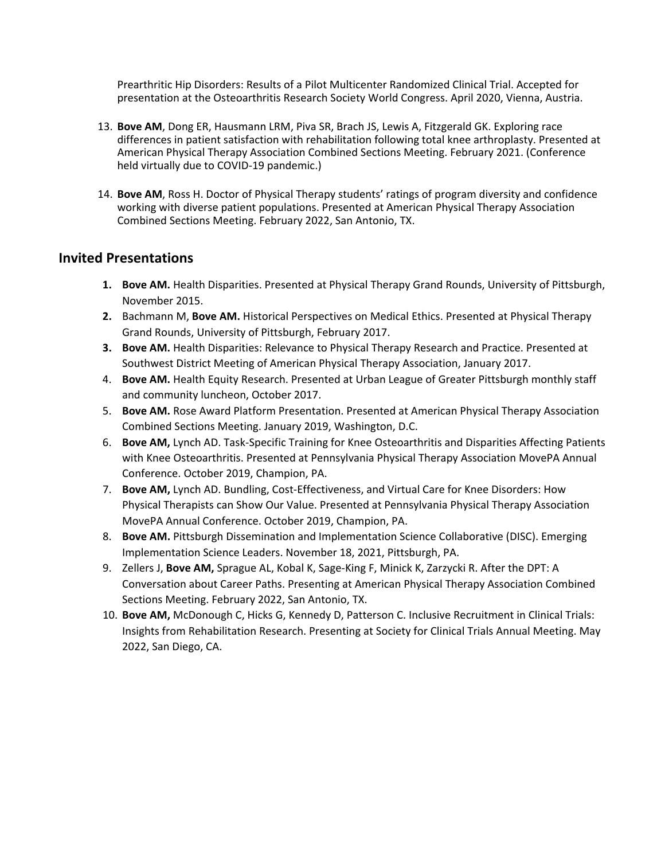Prearthritic Hip Disorders: Results of a Pilot Multicenter Randomized Clinical Trial. Accepted for presentation at the Osteoarthritis Research Society World Congress. April 2020, Vienna, Austria.

- 13. **Bove AM**, Dong ER, Hausmann LRM, Piva SR, Brach JS, Lewis A, Fitzgerald GK. Exploring race differences in patient satisfaction with rehabilitation following total knee arthroplasty. Presented at American Physical Therapy Association Combined Sections Meeting. February 2021. (Conference held virtually due to COVID-19 pandemic.)
- 14. **Bove AM**, Ross H. Doctor of Physical Therapy students' ratings of program diversity and confidence working with diverse patient populations. Presented at American Physical Therapy Association Combined Sections Meeting. February 2022, San Antonio, TX.

### **Invited Presentations**

- **1. Bove AM.** Health Disparities. Presented at Physical Therapy Grand Rounds, University of Pittsburgh, November 2015.
- **2.** Bachmann M, **Bove AM.** Historical Perspectives on Medical Ethics. Presented at Physical Therapy Grand Rounds, University of Pittsburgh, February 2017.
- **3. Bove AM.** Health Disparities: Relevance to Physical Therapy Research and Practice. Presented at Southwest District Meeting of American Physical Therapy Association, January 2017.
- 4. **Bove AM.** Health Equity Research. Presented at Urban League of Greater Pittsburgh monthly staff and community luncheon, October 2017.
- 5. **Bove AM.** Rose Award Platform Presentation. Presented at American Physical Therapy Association Combined Sections Meeting. January 2019, Washington, D.C.
- 6. **Bove AM,** Lynch AD. Task-Specific Training for Knee Osteoarthritis and Disparities Affecting Patients with Knee Osteoarthritis. Presented at Pennsylvania Physical Therapy Association MovePA Annual Conference. October 2019, Champion, PA.
- 7. **Bove AM,** Lynch AD. Bundling, Cost-Effectiveness, and Virtual Care for Knee Disorders: How Physical Therapists can Show Our Value. Presented at Pennsylvania Physical Therapy Association MovePA Annual Conference. October 2019, Champion, PA.
- 8. **Bove AM.** Pittsburgh Dissemination and Implementation Science Collaborative (DISC). Emerging Implementation Science Leaders. November 18, 2021, Pittsburgh, PA.
- 9. Zellers J, **Bove AM,** Sprague AL, Kobal K, Sage-King F, Minick K, Zarzycki R. After the DPT: A Conversation about Career Paths. Presenting at American Physical Therapy Association Combined Sections Meeting. February 2022, San Antonio, TX.
- 10. **Bove AM,** McDonough C, Hicks G, Kennedy D, Patterson C. Inclusive Recruitment in Clinical Trials: Insights from Rehabilitation Research. Presenting at Society for Clinical Trials Annual Meeting. May 2022, San Diego, CA.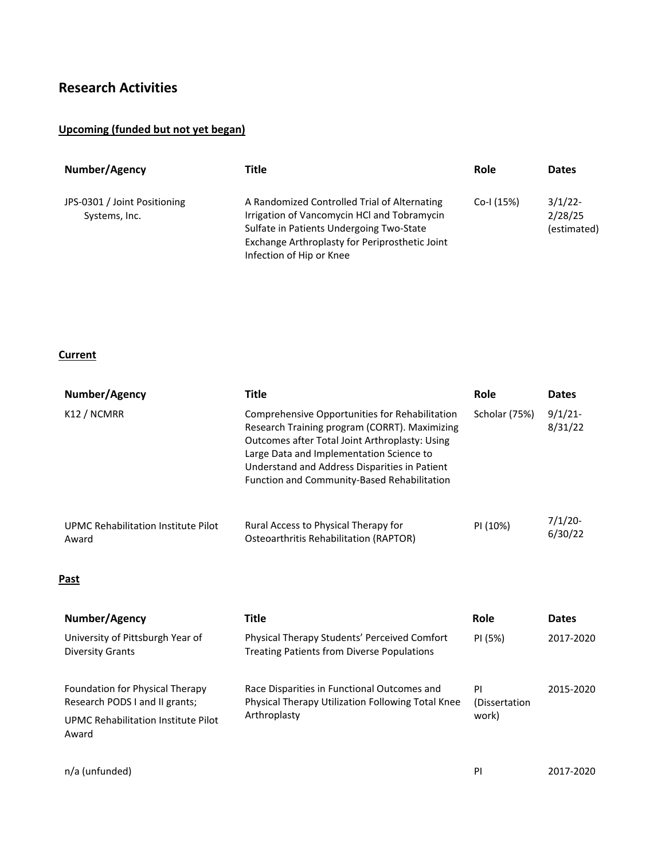# **Research Activities**

## **Upcoming (funded but not yet began)**

| Number/Agency                                 | Title                                                                                                                                                                                                                 | Role       | <b>Dates</b>                         |
|-----------------------------------------------|-----------------------------------------------------------------------------------------------------------------------------------------------------------------------------------------------------------------------|------------|--------------------------------------|
| JPS-0301 / Joint Positioning<br>Systems, Inc. | A Randomized Controlled Trial of Alternating<br>Irrigation of Vancomycin HCl and Tobramycin<br>Sulfate in Patients Undergoing Two-State<br>Exchange Arthroplasty for Periprosthetic Joint<br>Infection of Hip or Knee | Co-I (15%) | $3/1/22$ -<br>2/28/25<br>(estimated) |

## **Current**

| Number/Agency                                | Title                                                                                                                                                                                                                                                                                                | <b>Role</b>   | <b>Dates</b>          |
|----------------------------------------------|------------------------------------------------------------------------------------------------------------------------------------------------------------------------------------------------------------------------------------------------------------------------------------------------------|---------------|-----------------------|
| K12 / NCMRR                                  | Comprehensive Opportunities for Rehabilitation<br>Research Training program (CORRT). Maximizing<br>Outcomes after Total Joint Arthroplasty: Using<br>Large Data and Implementation Science to<br>Understand and Address Disparities in Patient<br><b>Function and Community-Based Rehabilitation</b> | Scholar (75%) | $9/1/21$ -<br>8/31/22 |
| UPMC Rehabilitation Institute Pilot<br>Award | Rural Access to Physical Therapy for<br>Osteoarthritis Rehabilitation (RAPTOR)                                                                                                                                                                                                                       | PI (10%)      | $7/1/20$ -<br>6/30/22 |

#### **Past**

| Number/Agency                                                                                                     | Title                                                                                                                   | <b>Role</b>                   | <b>Dates</b> |
|-------------------------------------------------------------------------------------------------------------------|-------------------------------------------------------------------------------------------------------------------------|-------------------------------|--------------|
| University of Pittsburgh Year of<br>Diversity Grants                                                              | Physical Therapy Students' Perceived Comfort<br><b>Treating Patients from Diverse Populations</b>                       | PI (5%)                       | 2017-2020    |
| Foundation for Physical Therapy<br>Research PODS I and II grants;<br>UPMC Rehabilitation Institute Pilot<br>Award | Race Disparities in Functional Outcomes and<br><b>Physical Therapy Utilization Following Total Knee</b><br>Arthroplasty | PI<br>(Dissertation)<br>work) | 2015-2020    |
| n/a (unfunded)                                                                                                    |                                                                                                                         | PI                            | 2017-2020    |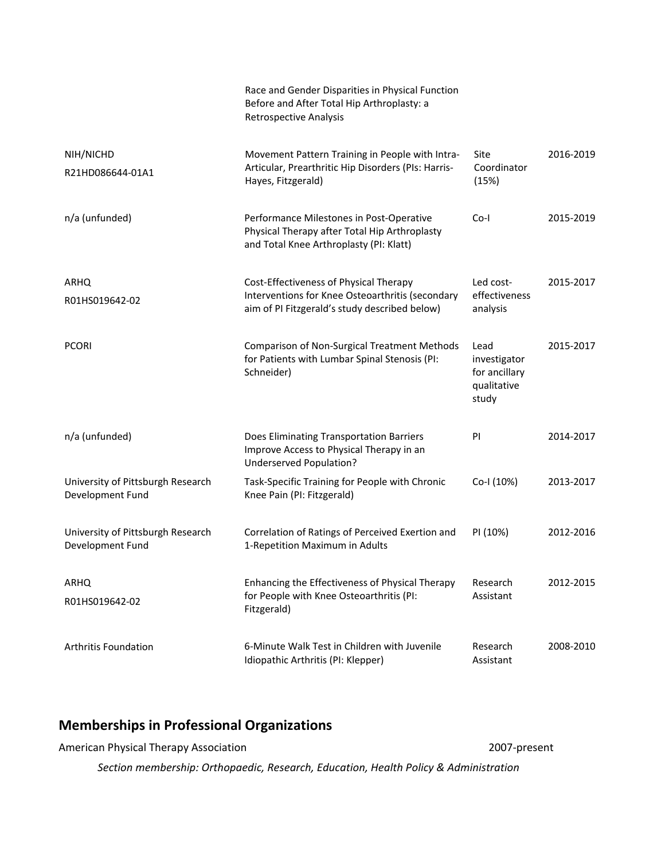|                                                       | Race and Gender Disparities in Physical Function<br>Before and After Total Hip Arthroplasty: a<br><b>Retrospective Analysis</b>             |                                                               |           |
|-------------------------------------------------------|---------------------------------------------------------------------------------------------------------------------------------------------|---------------------------------------------------------------|-----------|
| NIH/NICHD<br>R21HD086644-01A1                         | Movement Pattern Training in People with Intra-<br>Articular, Prearthritic Hip Disorders (PIs: Harris-<br>Hayes, Fitzgerald)                | Site<br>Coordinator<br>(15%)                                  | 2016-2019 |
| n/a (unfunded)                                        | Performance Milestones in Post-Operative<br>Physical Therapy after Total Hip Arthroplasty<br>and Total Knee Arthroplasty (PI: Klatt)        | $Co-I$                                                        | 2015-2019 |
| ARHQ<br>R01HS019642-02                                | Cost-Effectiveness of Physical Therapy<br>Interventions for Knee Osteoarthritis (secondary<br>aim of PI Fitzgerald's study described below) | Led cost-<br>effectiveness<br>analysis                        | 2015-2017 |
| <b>PCORI</b>                                          | Comparison of Non-Surgical Treatment Methods<br>for Patients with Lumbar Spinal Stenosis (PI:<br>Schneider)                                 | Lead<br>investigator<br>for ancillary<br>qualitative<br>study | 2015-2017 |
| n/a (unfunded)                                        | Does Eliminating Transportation Barriers<br>Improve Access to Physical Therapy in an<br>Underserved Population?                             | PI                                                            | 2014-2017 |
| University of Pittsburgh Research<br>Development Fund | Task-Specific Training for People with Chronic<br>Knee Pain (PI: Fitzgerald)                                                                | Co-I (10%)                                                    | 2013-2017 |
| University of Pittsburgh Research<br>Development Fund | Correlation of Ratings of Perceived Exertion and<br>1-Repetition Maximum in Adults                                                          | PI (10%)                                                      | 2012-2016 |
| ARHQ<br>R01HS019642-02                                | Enhancing the Effectiveness of Physical Therapy<br>for People with Knee Osteoarthritis (PI:<br>Fitzgerald)                                  | Research<br>Assistant                                         | 2012-2015 |
| <b>Arthritis Foundation</b>                           | 6-Minute Walk Test in Children with Juvenile<br>Idiopathic Arthritis (PI: Klepper)                                                          | Research<br>Assistant                                         | 2008-2010 |

# **Memberships in Professional Organizations**

| American Physical Therapy Association                                                | 2007-present |
|--------------------------------------------------------------------------------------|--------------|
| Section membership: Orthopaedic, Research, Education, Health Policy & Administration |              |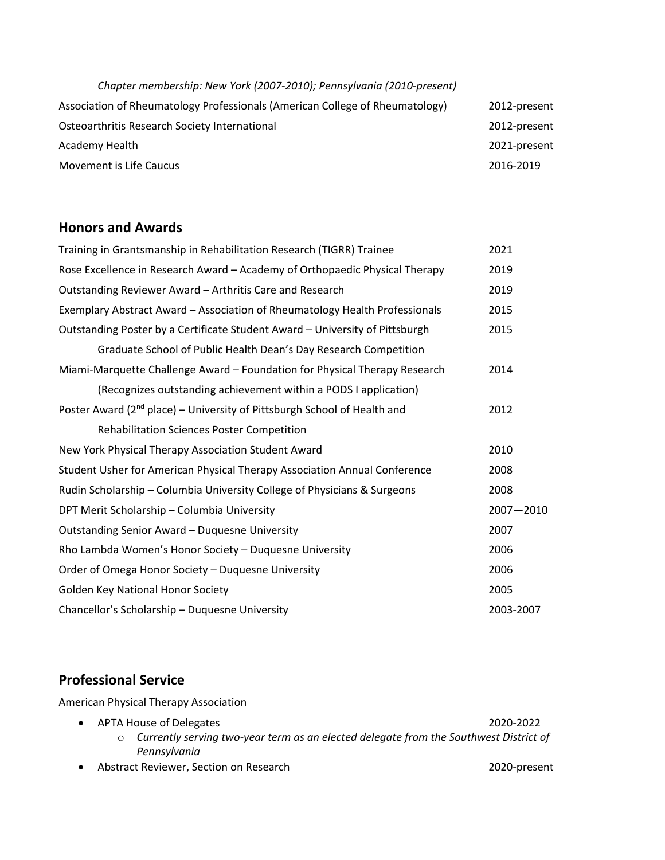| Chapter membership: New York (2007-2010); Pennsylvania (2010-present)        |              |
|------------------------------------------------------------------------------|--------------|
| Association of Rheumatology Professionals (American College of Rheumatology) | 2012-present |
| Osteoarthritis Research Society International                                | 2012-present |
| Academy Health                                                               | 2021-present |
| Movement is Life Caucus                                                      | 2016-2019    |

## **Honors and Awards**

| Training in Grantsmanship in Rehabilitation Research (TIGRR) Trainee           | 2021      |
|--------------------------------------------------------------------------------|-----------|
| Rose Excellence in Research Award - Academy of Orthopaedic Physical Therapy    | 2019      |
| Outstanding Reviewer Award - Arthritis Care and Research                       | 2019      |
| Exemplary Abstract Award - Association of Rheumatology Health Professionals    | 2015      |
| Outstanding Poster by a Certificate Student Award - University of Pittsburgh   | 2015      |
| Graduate School of Public Health Dean's Day Research Competition               |           |
| Miami-Marquette Challenge Award - Foundation for Physical Therapy Research     | 2014      |
| (Recognizes outstanding achievement within a PODS I application)               |           |
| Poster Award ( $2^{nd}$ place) – University of Pittsburgh School of Health and | 2012      |
| <b>Rehabilitation Sciences Poster Competition</b>                              |           |
| New York Physical Therapy Association Student Award                            | 2010      |
| Student Usher for American Physical Therapy Association Annual Conference      | 2008      |
| Rudin Scholarship - Columbia University College of Physicians & Surgeons       | 2008      |
| DPT Merit Scholarship - Columbia University                                    | 2007-2010 |
| Outstanding Senior Award - Duquesne University                                 | 2007      |
| Rho Lambda Women's Honor Society - Duquesne University                         | 2006      |
| Order of Omega Honor Society - Duquesne University                             | 2006      |
| Golden Key National Honor Society                                              | 2005      |
| Chancellor's Scholarship - Duquesne University                                 | 2003-2007 |

# **Professional Service**

American Physical Therapy Association

- APTA House of Delegates 2020-2022 o *Currently serving two-year term as an elected delegate from the Southwest District of Pennsylvania*
- Abstract Reviewer, Section on Research 2020-present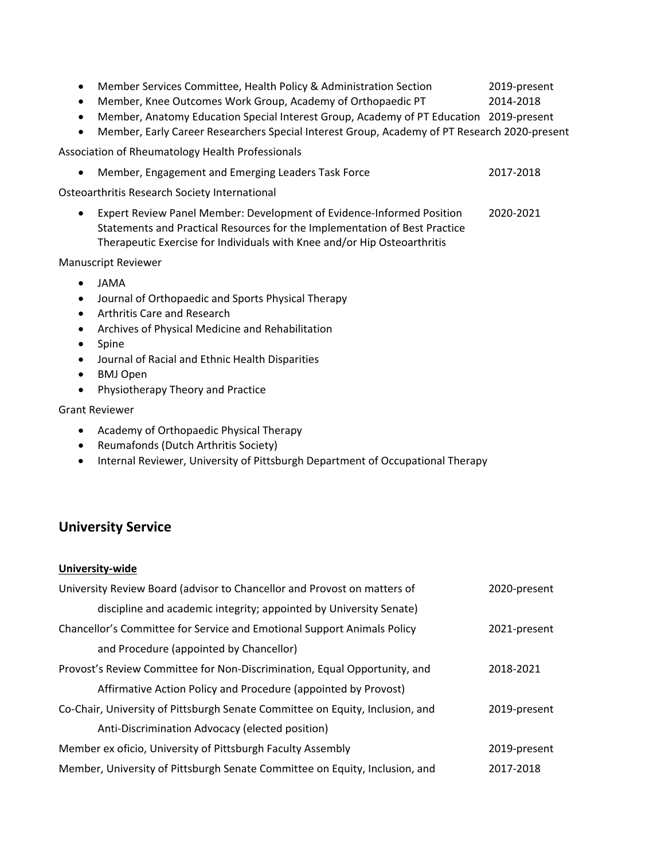| $\bullet$<br>$\bullet$ | Member Services Committee, Health Policy & Administration Section<br>Member, Knee Outcomes Work Group, Academy of Orthopaedic PT<br>Member, Anatomy Education Special Interest Group, Academy of PT Education                   | 2019-present<br>2014-2018<br>2019-present |
|------------------------|---------------------------------------------------------------------------------------------------------------------------------------------------------------------------------------------------------------------------------|-------------------------------------------|
| $\bullet$              | Member, Early Career Researchers Special Interest Group, Academy of PT Research 2020-present                                                                                                                                    |                                           |
|                        | Association of Rheumatology Health Professionals                                                                                                                                                                                |                                           |
| $\bullet$              | Member, Engagement and Emerging Leaders Task Force                                                                                                                                                                              | 2017-2018                                 |
|                        | Osteoarthritis Research Society International                                                                                                                                                                                   |                                           |
| $\bullet$              | Expert Review Panel Member: Development of Evidence-Informed Position<br>Statements and Practical Resources for the Implementation of Best Practice<br>Therapeutic Exercise for Individuals with Knee and/or Hip Osteoarthritis | 2020-2021                                 |

#### Manuscript Reviewer

- JAMA
- Journal of Orthopaedic and Sports Physical Therapy
- Arthritis Care and Research
- Archives of Physical Medicine and Rehabilitation
- Spine
- Journal of Racial and Ethnic Health Disparities
- BMJ Open
- Physiotherapy Theory and Practice

#### Grant Reviewer

- Academy of Orthopaedic Physical Therapy
- Reumafonds (Dutch Arthritis Society)
- Internal Reviewer, University of Pittsburgh Department of Occupational Therapy

## **University Service**

#### **University-wide**

| University Review Board (advisor to Chancellor and Provost on matters of      | 2020-present |
|-------------------------------------------------------------------------------|--------------|
| discipline and academic integrity; appointed by University Senate)            |              |
| Chancellor's Committee for Service and Emotional Support Animals Policy       | 2021-present |
| and Procedure (appointed by Chancellor)                                       |              |
| Provost's Review Committee for Non-Discrimination, Equal Opportunity, and     | 2018-2021    |
| Affirmative Action Policy and Procedure (appointed by Provost)                |              |
| Co-Chair, University of Pittsburgh Senate Committee on Equity, Inclusion, and | 2019-present |
| Anti-Discrimination Advocacy (elected position)                               |              |
| Member ex oficio, University of Pittsburgh Faculty Assembly                   | 2019-present |
| Member, University of Pittsburgh Senate Committee on Equity, Inclusion, and   | 2017-2018    |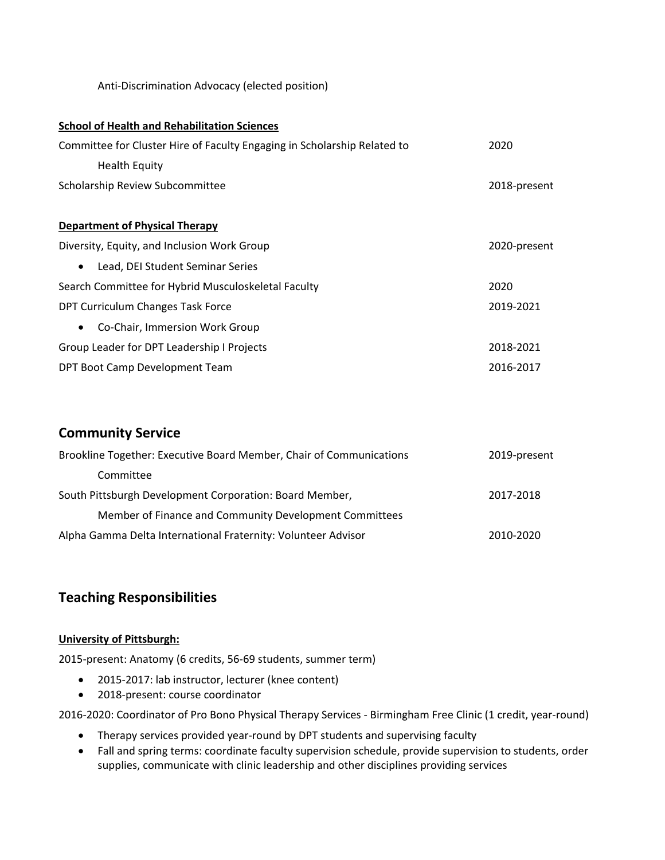Anti-Discrimination Advocacy (elected position)

| <b>School of Health and Rehabilitation Sciences</b>                      |              |
|--------------------------------------------------------------------------|--------------|
| Committee for Cluster Hire of Faculty Engaging in Scholarship Related to | 2020         |
| <b>Health Equity</b>                                                     |              |
| Scholarship Review Subcommittee                                          | 2018-present |
|                                                                          |              |
| <b>Department of Physical Therapy</b>                                    |              |
| Diversity, Equity, and Inclusion Work Group                              | 2020-present |
| Lead, DEI Student Seminar Series<br>$\bullet$                            |              |
| Search Committee for Hybrid Musculoskeletal Faculty                      | 2020         |
| DPT Curriculum Changes Task Force                                        | 2019-2021    |
| Co-Chair, Immersion Work Group<br>$\bullet$                              |              |
| Group Leader for DPT Leadership I Projects                               | 2018-2021    |
| DPT Boot Camp Development Team                                           | 2016-2017    |

## **Community Service**

| Brookline Together: Executive Board Member, Chair of Communications | 2019-present |
|---------------------------------------------------------------------|--------------|
| Committee                                                           |              |
| South Pittsburgh Development Corporation: Board Member,             | 2017-2018    |
| Member of Finance and Community Development Committees              |              |
| Alpha Gamma Delta International Fraternity: Volunteer Advisor       | 2010-2020    |

## **Teaching Responsibilities**

#### **University of Pittsburgh:**

2015-present: Anatomy (6 credits, 56-69 students, summer term)

- 2015-2017: lab instructor, lecturer (knee content)
- 2018-present: course coordinator

2016-2020: Coordinator of Pro Bono Physical Therapy Services - Birmingham Free Clinic (1 credit, year-round)

- Therapy services provided year-round by DPT students and supervising faculty
- Fall and spring terms: coordinate faculty supervision schedule, provide supervision to students, order supplies, communicate with clinic leadership and other disciplines providing services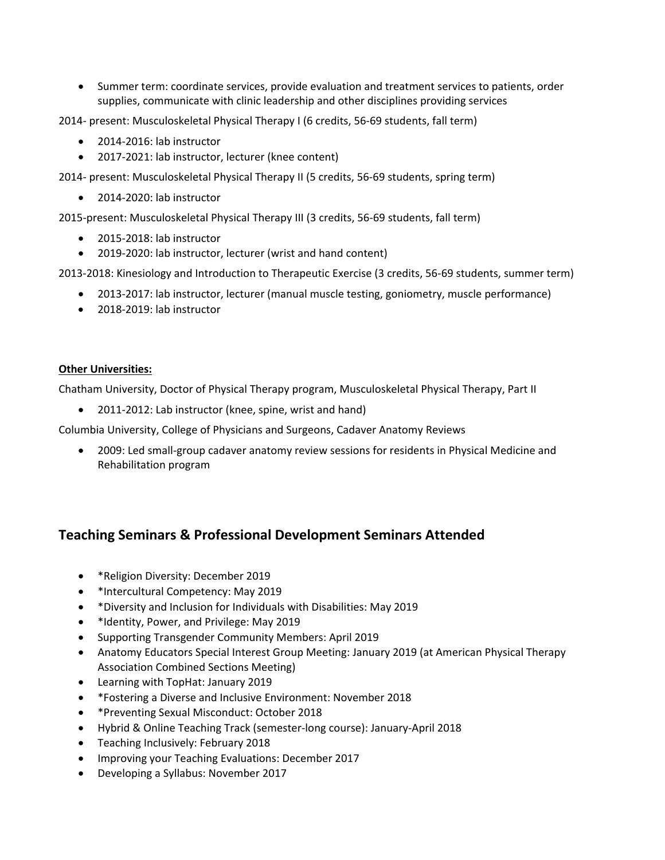• Summer term: coordinate services, provide evaluation and treatment services to patients, order supplies, communicate with clinic leadership and other disciplines providing services

2014- present: Musculoskeletal Physical Therapy I (6 credits, 56-69 students, fall term)

- 2014-2016: lab instructor
- 2017-2021: lab instructor, lecturer (knee content)

2014- present: Musculoskeletal Physical Therapy II (5 credits, 56-69 students, spring term)

• 2014-2020: lab instructor

2015-present: Musculoskeletal Physical Therapy III (3 credits, 56-69 students, fall term)

- 2015-2018: lab instructor
- 2019-2020: lab instructor, lecturer (wrist and hand content)

2013-2018: Kinesiology and Introduction to Therapeutic Exercise (3 credits, 56-69 students, summer term)

- 2013-2017: lab instructor, lecturer (manual muscle testing, goniometry, muscle performance)
- 2018-2019: lab instructor

#### **Other Universities:**

Chatham University, Doctor of Physical Therapy program, Musculoskeletal Physical Therapy, Part II

• 2011-2012: Lab instructor (knee, spine, wrist and hand)

Columbia University, College of Physicians and Surgeons, Cadaver Anatomy Reviews

• 2009: Led small-group cadaver anatomy review sessions for residents in Physical Medicine and Rehabilitation program

## **Teaching Seminars & Professional Development Seminars Attended**

- \*Religion Diversity: December 2019
- \*Intercultural Competency: May 2019
- \*Diversity and Inclusion for Individuals with Disabilities: May 2019
- \*Identity, Power, and Privilege: May 2019
- Supporting Transgender Community Members: April 2019
- Anatomy Educators Special Interest Group Meeting: January 2019 (at American Physical Therapy Association Combined Sections Meeting)
- Learning with TopHat: January 2019
- \*Fostering a Diverse and Inclusive Environment: November 2018
- \*Preventing Sexual Misconduct: October 2018
- Hybrid & Online Teaching Track (semester-long course): January-April 2018
- Teaching Inclusively: February 2018
- Improving your Teaching Evaluations: December 2017
- Developing a Syllabus: November 2017